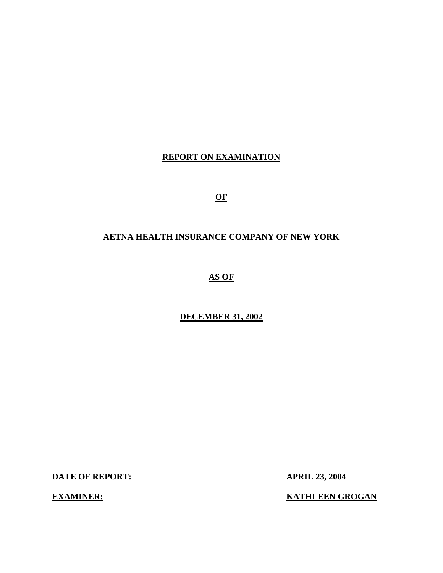# **REPORT ON EXAMINATION**

**OF** 

# **AETNA HEALTH INSURANCE COMPANY OF NEW YORK**

**AS OF** 

## **DECEMBER 31, 2002**

**DATE OF REPORT: APRIL 23, 2004** 

**EXAMINER:** KATHLEEN GROGAN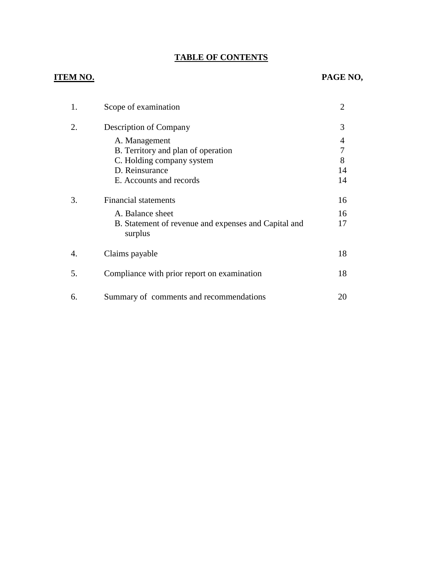# **TABLE OF CONTENTS**

|    | Scope of examination                                            | $\overline{2}$ |
|----|-----------------------------------------------------------------|----------------|
| 2. | <b>Description of Company</b>                                   | 3              |
|    | A. Management                                                   | 4              |
|    | B. Territory and plan of operation                              |                |
|    | C. Holding company system                                       | 8              |
|    | D. Reinsurance                                                  | 14             |
|    | E. Accounts and records                                         | 14             |
| 3. | <b>Financial statements</b>                                     | 16             |
|    | A. Balance sheet                                                | 16             |
|    | B. Statement of revenue and expenses and Capital and<br>surplus | 17             |
| 4. | Claims payable                                                  | 18             |
| 5. | Compliance with prior report on examination                     | 18             |
| 6. | Summary of comments and recommendations                         | 20             |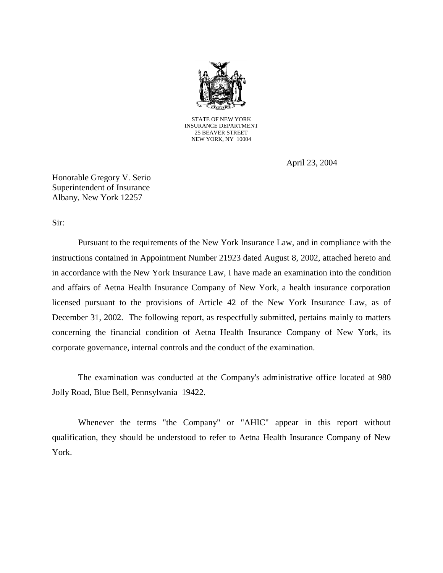

STATE OF NEW YORK INSURANCE DEPARTMENT 25 BEAVER STREET NEW YORK, NY 10004

April 23, 2004

Honorable Gregory V. Serio Superintendent of Insurance Albany, New York 12257

Sir:

 Pursuant to the requirements of the New York Insurance Law, and in compliance with the instructions contained in Appointment Number 21923 dated August 8, 2002, attached hereto and in accordance with the New York Insurance Law, I have made an examination into the condition and affairs of Aetna Health Insurance Company of New York, a health insurance corporation licensed pursuant to the provisions of Article 42 of the New York Insurance Law, as of December 31, 2002. The following report, as respectfully submitted, pertains mainly to matters concerning the financial condition of Aetna Health Insurance Company of New York, its corporate governance, internal controls and the conduct of the examination.

 The examination was conducted at the Company's administrative office located at 980 Jolly Road, Blue Bell, Pennsylvania 19422.

 Whenever the terms "the Company" or "AHIC" appear in this report without qualification, they should be understood to refer to Aetna Health Insurance Company of New York.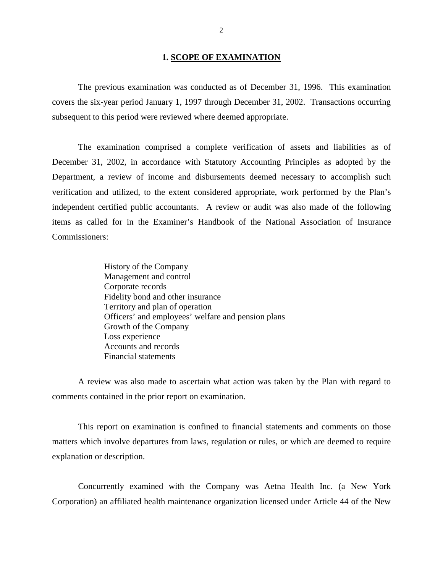### **1. SCOPE OF EXAMINATION**

 The previous examination was conducted as of December 31, 1996. This examination covers the six-year period January 1, 1997 through December 31, 2002. Transactions occurring subsequent to this period were reviewed where deemed appropriate.

 The examination comprised a complete verification of assets and liabilities as of December 31, 2002, in accordance with Statutory Accounting Principles as adopted by the Department, a review of income and disbursements deemed necessary to accomplish such verification and utilized, to the extent considered appropriate, work performed by the Plan's independent certified public accountants. A review or audit was also made of the following items as called for in the Examiner's Handbook of the National Association of Insurance Commissioners:

> Officers' and employees' welfare and pension plans History of the Company Management and control Corporate records Fidelity bond and other insurance Territory and plan of operation Growth of the Company Loss experience Accounts and records Financial statements

 A review was also made to ascertain what action was taken by the Plan with regard to comments contained in the prior report on examination.

 This report on examination is confined to financial statements and comments on those matters which involve departures from laws, regulation or rules, or which are deemed to require explanation or description.

 Concurrently examined with the Company was Aetna Health Inc. (a New York Corporation) an affiliated health maintenance organization licensed under Article 44 of the New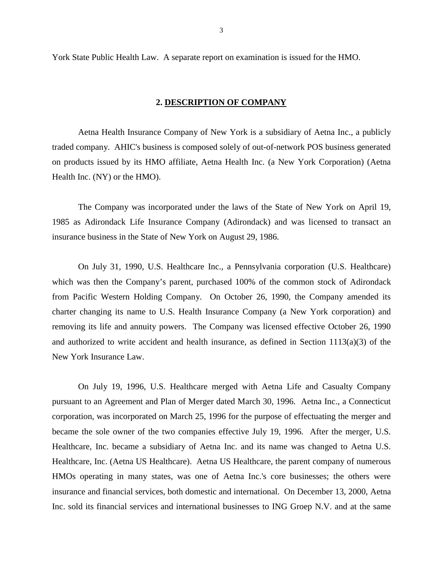<span id="page-4-0"></span>York State Public Health Law. A separate report on examination is issued for the HMO.

### **2. DESCRIPTION OF COMPANY**

 Aetna Health Insurance Company of New York is a subsidiary of Aetna Inc., a publicly traded company. AHIC's business is composed solely of out-of-network POS business generated on products issued by its HMO affiliate, Aetna Health Inc. (a New York Corporation) (Aetna Health Inc. (NY) or the HMO).

 The Company was incorporated under the laws of the State of New York on April 19, 1985 as Adirondack Life Insurance Company (Adirondack) and was licensed to transact an insurance business in the State of New York on August 29, 1986.

 On July 31, 1990, U.S. Healthcare Inc., a Pennsylvania corporation (U.S. Healthcare) which was then the Company's parent, purchased 100% of the common stock of Adirondack from Pacific Western Holding Company. On October 26, 1990, the Company amended its charter changing its name to U.S. Health Insurance Company (a New York corporation) and removing its life and annuity powers. The Company was licensed effective October 26, 1990 and authorized to write accident and health insurance, as defined in Section 1113(a)(3) of the New York Insurance Law.

 On July 19, 1996, U.S. Healthcare merged with Aetna Life and Casualty Company pursuant to an Agreement and Plan of Merger dated March 30, 1996. Aetna Inc., a Connecticut corporation, was incorporated on March 25, 1996 for the purpose of effectuating the merger and became the sole owner of the two companies effective July 19, 1996. After the merger, U.S. Healthcare, Inc. became a subsidiary of Aetna Inc. and its name was changed to Aetna U.S. Healthcare, Inc. (Aetna US Healthcare). Aetna US Healthcare, the parent company of numerous HMOs operating in many states, was one of Aetna Inc.'s core businesses; the others were insurance and financial services, both domestic and international. On December 13, 2000, Aetna Inc. sold its financial services and international businesses to ING Groep N.V. and at the same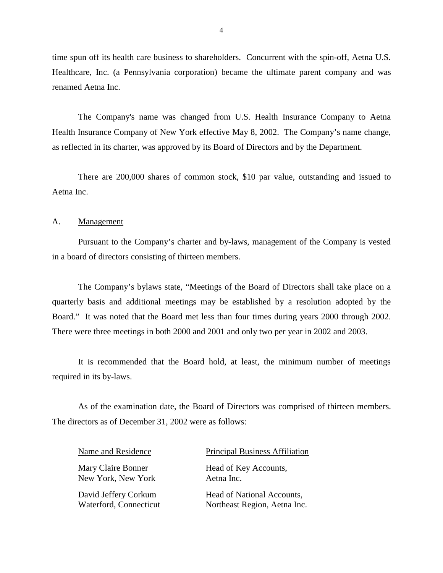<span id="page-5-0"></span> time spun off its health care business to shareholders. Concurrent with the spin-off, Aetna U.S. Healthcare, Inc. (a Pennsylvania corporation) became the ultimate parent company and was renamed Aetna Inc.

 The Company's name was changed from U.S. Health Insurance Company to Aetna Health Insurance Company of New York effective May 8, 2002. The Company's name change, as reflected in its charter, was approved by its Board of Directors and by the Department.

 There are 200,000 shares of common stock, \$10 par value, outstanding and issued to Aetna Inc.

### A. Management

 Pursuant to the Company's charter and by-laws, management of the Company is vested in a board of directors consisting of thirteen members.

 The Company's bylaws state, "Meetings of the Board of Directors shall take place on a quarterly basis and additional meetings may be established by a resolution adopted by the Board." It was noted that the Board met less than four times during years 2000 through 2002. There were three meetings in both 2000 and 2001 and only two per year in 2002 and 2003.

 It is recommended that the Board hold, at least, the minimum number of meetings required in its by-laws.

 As of the examination date, the Board of Directors was comprised of thirteen members. The directors as of December 31, 2002 were as follows:

New York, New York Aetna Inc.

### Name and Residence Principal Business Affiliation

Mary Claire Bonner Head of Key Accounts,

David Jeffery Corkum Head of National Accounts, Waterford, Connecticut Northeast Region, Aetna Inc.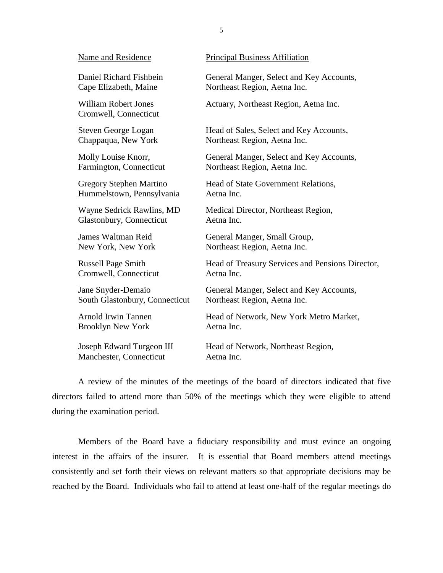| Name and Residence                                   | <b>Principal Business Affiliation</b>            |
|------------------------------------------------------|--------------------------------------------------|
| Daniel Richard Fishbein                              | General Manger, Select and Key Accounts,         |
| Cape Elizabeth, Maine                                | Northeast Region, Aetna Inc.                     |
| <b>William Robert Jones</b><br>Cromwell, Connecticut | Actuary, Northeast Region, Aetna Inc.            |
| <b>Steven George Logan</b>                           | Head of Sales, Select and Key Accounts,          |
| Chappaqua, New York                                  | Northeast Region, Aetna Inc.                     |
| Molly Louise Knorr,                                  | General Manger, Select and Key Accounts,         |
| Farmington, Connecticut                              | Northeast Region, Aetna Inc.                     |
| Gregory Stephen Martino                              | Head of State Government Relations,              |
| Hummelstown, Pennsylvania                            | Aetna Inc.                                       |
| Wayne Sedrick Rawlins, MD                            | Medical Director, Northeast Region,              |
| Glastonbury, Connecticut                             | Aetna Inc.                                       |
| James Waltman Reid                                   | General Manger, Small Group,                     |
| New York, New York                                   | Northeast Region, Aetna Inc.                     |
| <b>Russell Page Smith</b>                            | Head of Treasury Services and Pensions Director, |
| Cromwell, Connecticut                                | Aetna Inc.                                       |
| Jane Snyder-Demaio                                   | General Manger, Select and Key Accounts,         |
| South Glastonbury, Connecticut                       | Northeast Region, Aetna Inc.                     |
| Arnold Irwin Tannen                                  | Head of Network, New York Metro Market,          |
| <b>Brooklyn New York</b>                             | Aetna Inc.                                       |
| Joseph Edward Turgeon III                            | Head of Network, Northeast Region,               |
| Manchester, Connecticut                              | Aetna Inc.                                       |
|                                                      |                                                  |

5

 A review of the minutes of the meetings of the board of directors indicated that five directors failed to attend more than 50% of the meetings which they were eligible to attend during the examination period.

 Members of the Board have a fiduciary responsibility and must evince an ongoing interest in the affairs of the insurer. It is essential that Board members attend meetings consistently and set forth their views on relevant matters so that appropriate decisions may be reached by the Board. Individuals who fail to attend at least one-half of the regular meetings do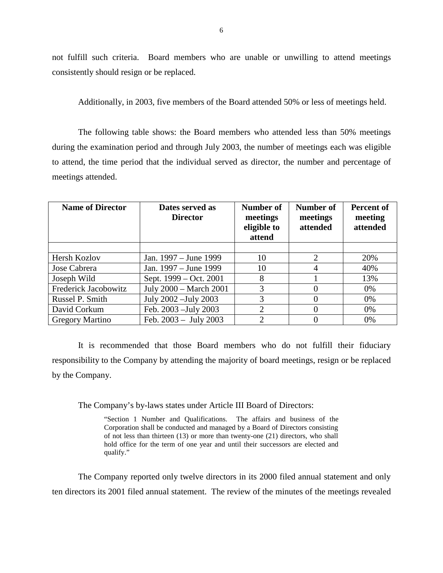not fulfill such criteria. Board members who are unable or unwilling to attend meetings consistently should resign or be replaced.

Additionally, in 2003, five members of the Board attended 50% or less of meetings held.

 The following table shows: the Board members who attended less than 50% meetings during the examination period and through July 2003, the number of meetings each was eligible to attend, the time period that the individual served as director, the number and percentage of meetings attended.

| <b>Name of Director</b> | Dates served as<br><b>Director</b> | Number of<br>meetings<br>eligible to<br>attend | Number of<br>meetings<br>attended | <b>Percent of</b><br>meeting<br>attended |
|-------------------------|------------------------------------|------------------------------------------------|-----------------------------------|------------------------------------------|
|                         |                                    |                                                |                                   |                                          |
| Hersh Kozlov            | Jan. 1997 – June 1999              | 10                                             | $\mathfrak{D}$                    | 20%                                      |
| Jose Cabrera            | Jan. 1997 – June 1999              | 10                                             |                                   | 40%                                      |
| Joseph Wild             | Sept. 1999 – Oct. 2001             | 8                                              |                                   | 13%                                      |
| Frederick Jacobowitz    | July 2000 - March 2001             | 3                                              |                                   | 0%                                       |
| Russel P. Smith         | July 2002 - July 2003              | 3                                              |                                   | 0%                                       |
| David Corkum            | Feb. 2003 - July 2003              | $\overline{2}$                                 |                                   | 0%                                       |
| <b>Gregory Martino</b>  | Feb. $2003 - July 2003$            | $\mathcal{D}_{\mathcal{L}}$                    |                                   | 0%                                       |

 It is recommended that those Board members who do not fulfill their fiduciary responsibility to the Company by attending the majority of board meetings, resign or be replaced by the Company.

The Company's by-laws states under Article III Board of Directors:

 "Section 1 Number and Qualifications. The affairs and business of the Corporation shall be conducted and managed by a Board of Directors consisting of not less than thirteen (13) or more than twenty-one (21) directors, who shall hold office for the term of one year and until their successors are elected and qualify."

 The Company reported only twelve directors in its 2000 filed annual statement and only ten directors its 2001 filed annual statement. The review of the minutes of the meetings revealed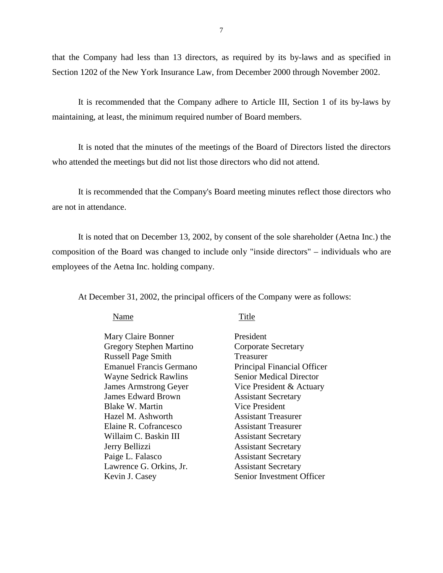<span id="page-8-0"></span> that the Company had less than 13 directors, as required by its by-laws and as specified in Section 1202 of the New York Insurance Law, from December 2000 through November 2002.

 It is recommended that the Company adhere to Article III, Section 1 of its by-laws by maintaining, at least, the minimum required number of Board members.

 It is noted that the minutes of the meetings of the Board of Directors listed the directors who attended the meetings but did not list those directors who did not attend.

 It is recommended that the Company's Board meeting minutes reflect those directors who are not in attendance.

 It is noted that on December 13, 2002, by consent of the sole shareholder (Aetna Inc.) the composition of the Board was changed to include only "inside directors" – individuals who are employees of the Aetna Inc. holding company.

At December 31, 2002, the principal officers of the Company were as follows:

### Name

### Title

| Mary Claire Bonner             | President                      |
|--------------------------------|--------------------------------|
| Gregory Stephen Martino        | <b>Corporate Secretary</b>     |
| <b>Russell Page Smith</b>      | Treasurer                      |
| <b>Emanuel Francis Germano</b> | Principal Financial Officer    |
| <b>Wayne Sedrick Rawlins</b>   | <b>Senior Medical Director</b> |
| <b>James Armstrong Geyer</b>   | Vice President & Actuary       |
| <b>James Edward Brown</b>      | <b>Assistant Secretary</b>     |
| Blake W. Martin                | <b>Vice President</b>          |
| Hazel M. Ashworth              | <b>Assistant Treasurer</b>     |
| Elaine R. Cofrancesco          | <b>Assistant Treasurer</b>     |
| Willaim C. Baskin III          | <b>Assistant Secretary</b>     |
| Jerry Bellizzi                 | <b>Assistant Secretary</b>     |
| Paige L. Falasco               | <b>Assistant Secretary</b>     |
| Lawrence G. Orkins, Jr.        | <b>Assistant Secretary</b>     |
| Kevin J. Casey                 | Senior Investment Officer      |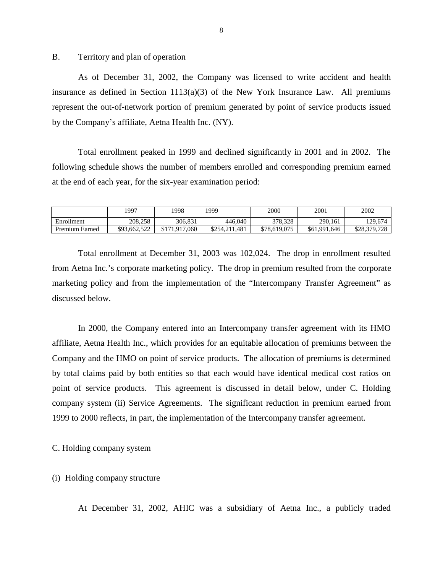## B. Territory and plan of operation

 As of December 31, 2002, the Company was licensed to write accident and health insurance as defined in Section 1113(a)(3) of the New York Insurance Law. All premiums represent the out-of-network portion of premium generated by point of service products issued by the Company's affiliate, Aetna Health Inc. (NY).

 Total enrollment peaked in 1999 and declined significantly in 2001 and in 2002. The following schedule shows the number of members enrolled and corresponding premium earned at the end of each year, for the six-year examination period:

|                | <u> 1997</u> | <u>1998</u>    | <u> 1999</u>      | 2000         | <u>2001</u>  | 2002                   |
|----------------|--------------|----------------|-------------------|--------------|--------------|------------------------|
| Enrollment     | 208,258      | 306.831        | 446,040           | 378.328      | 290.161      | 129,674                |
| Premium Earned | \$93,662,522 | .917.060<br>υı | .481<br>\$254,211 | \$78,619,075 | \$61,991,646 | \$28,379,728<br>17.120 |

 Total enrollment at December 31, 2003 was 102,024. The drop in enrollment resulted from Aetna Inc.'s corporate marketing policy. The drop in premium resulted from the corporate marketing policy and from the implementation of the "Intercompany Transfer Agreement" as discussed below.

 In 2000, the Company entered into an Intercompany transfer agreement with its HMO affiliate, Aetna Health Inc., which provides for an equitable allocation of premiums between the Company and the HMO on point of service products. The allocation of premiums is determined by total claims paid by both entities so that each would have identical medical cost ratios on point of service products. This agreement is discussed in detail below, under C. Holding company system (ii) Service Agreements. The significant reduction in premium earned from 1999 to 2000 reflects, in part, the implementation of the Intercompany transfer agreement.

## C. Holding company system

### (i) Holding company structure

At December 31, 2002, AHIC was a subsidiary of Aetna Inc., a publicly traded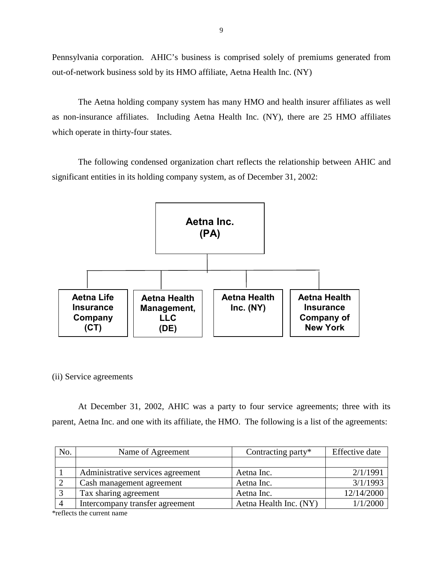Pennsylvania corporation. AHIC's business is comprised solely of premiums generated from out-of-network business sold by its HMO affiliate, Aetna Health Inc. (NY)

 The Aetna holding company system has many HMO and health insurer affiliates as well as non-insurance affiliates. Including Aetna Health Inc. (NY), there are 25 HMO affiliates which operate in thirty-four states.

 The following condensed organization chart reflects the relationship between AHIC and significant entities in its holding company system, as of December 31, 2002:



(ii) Service agreements

 At December 31, 2002, AHIC was a party to four service agreements; three with its parent, Aetna Inc. and one with its affiliate, the HMO. The following is a list of the agreements:

| No.            | Name of Agreement                 | Contracting party*     | <b>Effective</b> date |
|----------------|-----------------------------------|------------------------|-----------------------|
|                |                                   |                        |                       |
|                | Administrative services agreement | Aetna Inc.             | 2/1/1991              |
|                | Cash management agreement         | Aetna Inc.             | 3/1/1993              |
|                | Tax sharing agreement             | Aetna Inc.             | 12/14/2000            |
| $\overline{A}$ | Intercompany transfer agreement   | Aetna Health Inc. (NY) | 1/1/2000              |

\*reflects the current name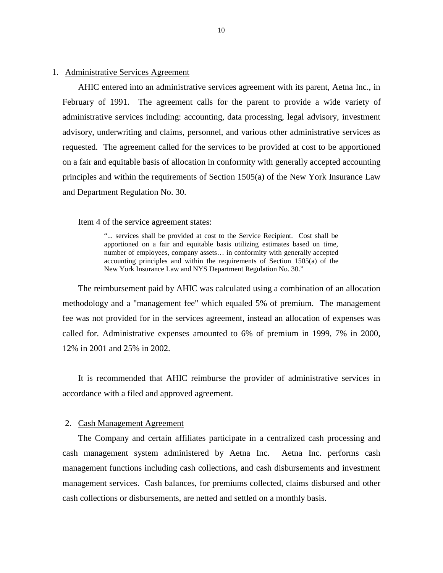### 1. Administrative Services Agreement

 AHIC entered into an administrative services agreement with its parent, Aetna Inc., in February of 1991. The agreement calls for the parent to provide a wide variety of administrative services including: accounting, data processing, legal advisory, investment advisory, underwriting and claims, personnel, and various other administrative services as requested. The agreement called for the services to be provided at cost to be apportioned on a fair and equitable basis of allocation in conformity with generally accepted accounting principles and within the requirements of Section 1505(a) of the New York Insurance Law and Department Regulation No. 30.

Item 4 of the service agreement states:

 "... services shall be provided at cost to the Service Recipient. Cost shall be apportioned on a fair and equitable basis utilizing estimates based on time, number of employees, company assets… in conformity with generally accepted accounting principles and within the requirements of Section 1505(a) of the New York Insurance Law and NYS Department Regulation No. 30."

 The reimbursement paid by AHIC was calculated using a combination of an allocation methodology and a "management fee" which equaled 5% of premium. The management fee was not provided for in the services agreement, instead an allocation of expenses was called for. Administrative expenses amounted to 6% of premium in 1999, 7% in 2000, 12% in 2001 and 25% in 2002.

 It is recommended that AHIC reimburse the provider of administrative services in accordance with a filed and approved agreement.

### 2. Cash Management Agreement

 The Company and certain affiliates participate in a centralized cash processing and cash management system administered by Aetna Inc. Aetna Inc. performs cash management functions including cash collections, and cash disbursements and investment management services. Cash balances, for premiums collected, claims disbursed and other cash collections or disbursements, are netted and settled on a monthly basis.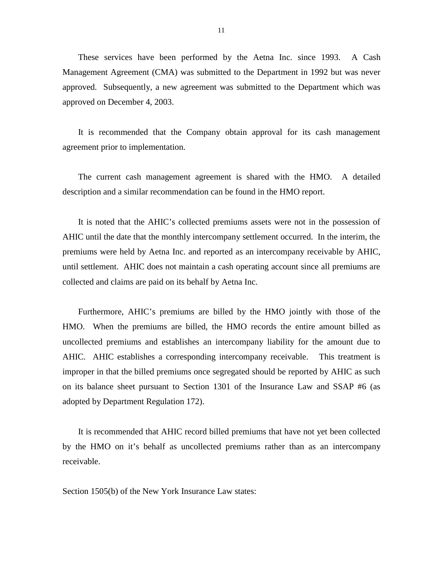These services have been performed by the Aetna Inc. since 1993. A Cash Management Agreement (CMA) was submitted to the Department in 1992 but was never approved. Subsequently, a new agreement was submitted to the Department which was approved on December 4, 2003.

 It is recommended that the Company obtain approval for its cash management agreement prior to implementation.

 The current cash management agreement is shared with the HMO. A detailed description and a similar recommendation can be found in the HMO report.

 It is noted that the AHIC's collected premiums assets were not in the possession of AHIC until the date that the monthly intercompany settlement occurred. In the interim, the premiums were held by Aetna Inc. and reported as an intercompany receivable by AHIC, until settlement. AHIC does not maintain a cash operating account since all premiums are collected and claims are paid on its behalf by Aetna Inc.

 Furthermore, AHIC's premiums are billed by the HMO jointly with those of the HMO. When the premiums are billed, the HMO records the entire amount billed as uncollected premiums and establishes an intercompany liability for the amount due to AHIC. AHIC establishes a corresponding intercompany receivable. This treatment is improper in that the billed premiums once segregated should be reported by AHIC as such on its balance sheet pursuant to Section 1301 of the Insurance Law and SSAP #6 (as adopted by Department Regulation 172).

 It is recommended that AHIC record billed premiums that have not yet been collected by the HMO on it's behalf as uncollected premiums rather than as an intercompany receivable.

Section 1505(b) of the New York Insurance Law states: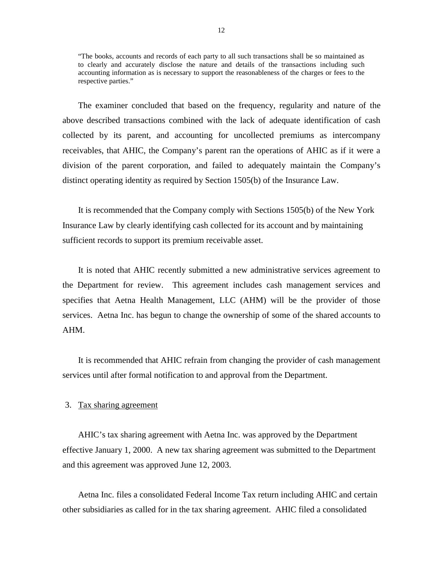"The books, accounts and records of each party to all such transactions shall be so maintained as to clearly and accurately disclose the nature and details of the transactions including such accounting information as is necessary to support the reasonableness of the charges or fees to the respective parties."

 The examiner concluded that based on the frequency, regularity and nature of the above described transactions combined with the lack of adequate identification of cash collected by its parent, and accounting for uncollected premiums as intercompany receivables, that AHIC, the Company's parent ran the operations of AHIC as if it were a division of the parent corporation, and failed to adequately maintain the Company's distinct operating identity as required by Section 1505(b) of the Insurance Law.

 Insurance Law by clearly identifying cash collected for its account and by maintaining It is recommended that the Company comply with Sections 1505(b) of the New York sufficient records to support its premium receivable asset.

 It is noted that AHIC recently submitted a new administrative services agreement to the Department for review. This agreement includes cash management services and specifies that Aetna Health Management, LLC (AHM) will be the provider of those services. Aetna Inc. has begun to change the ownership of some of the shared accounts to AHM.

 It is recommended that AHIC refrain from changing the provider of cash management services until after formal notification to and approval from the Department.

### 3. Tax sharing agreement

AHIC's tax sharing agreement with Aetna Inc. was approved by the Department effective January 1, 2000. A new tax sharing agreement was submitted to the Department and this agreement was approved June 12, 2003.

 Aetna Inc. files a consolidated Federal Income Tax return including AHIC and certain other subsidiaries as called for in the tax sharing agreement. AHIC filed a consolidated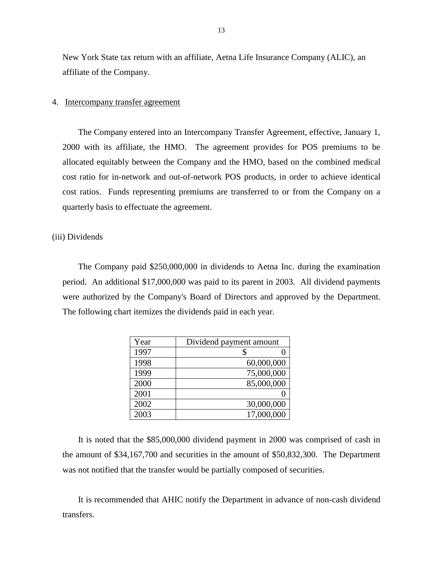New York State tax return with an affiliate, Aetna Life Insurance Company (ALIC), an affiliate of the Company.

### 4. Intercompany transfer agreement

 The Company entered into an Intercompany Transfer Agreement, effective, January 1, 2000 with its affiliate, the HMO. The agreement provides for POS premiums to be allocated equitably between the Company and the HMO, based on the combined medical cost ratio for in-network and out-of-network POS products, in order to achieve identical cost ratios. Funds representing premiums are transferred to or from the Company on a quarterly basis to effectuate the agreement.

### (iii) Dividends

 The Company paid \$250,000,000 in dividends to Aetna Inc. during the examination period. An additional \$17,000,000 was paid to its parent in 2003. All dividend payments were authorized by the Company's Board of Directors and approved by the Department. The following chart itemizes the dividends paid in each year.

| Year | Dividend payment amount |
|------|-------------------------|
| 1997 |                         |
| 1998 | 60,000,000              |
| 1999 | 75,000,000              |
| 2000 | 85,000,000              |
| 2001 |                         |
| 2002 | 30,000,000              |
| 2003 | 17,000,000              |

 It is noted that the \$85,000,000 dividend payment in 2000 was comprised of cash in the amount of \$34,167,700 and securities in the amount of \$50,832,300. The Department was not notified that the transfer would be partially composed of securities.

 It is recommended that AHIC notify the Department in advance of non-cash dividend transfers.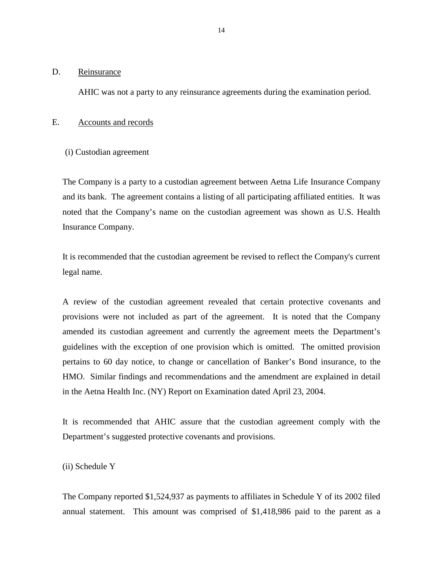## <span id="page-15-0"></span>D. Reinsurance

AHIC was not a party to any reinsurance agreements during the examination period.

## E. Accounts and records

(i) Custodian agreement

 The Company is a party to a custodian agreement between Aetna Life Insurance Company and its bank. The agreement contains a listing of all participating affiliated entities. It was noted that the Company's name on the custodian agreement was shown as U.S. Health Insurance Company.

It is recommended that the custodian agreement be revised to reflect the Company's current legal name.

 A review of the custodian agreement revealed that certain protective covenants and provisions were not included as part of the agreement. It is noted that the Company amended its custodian agreement and currently the agreement meets the Department's guidelines with the exception of one provision which is omitted. The omitted provision pertains to 60 day notice, to change or cancellation of Banker's Bond insurance, to the HMO. Similar findings and recommendations and the amendment are explained in detail in the Aetna Health Inc. (NY) Report on Examination dated April 23, 2004.

 It is recommended that AHIC assure that the custodian agreement comply with the Department's suggested protective covenants and provisions.

(ii) Schedule Y

 The Company reported \$1,524,937 as payments to affiliates in Schedule Y of its 2002 filed annual statement. This amount was comprised of \$1,418,986 paid to the parent as a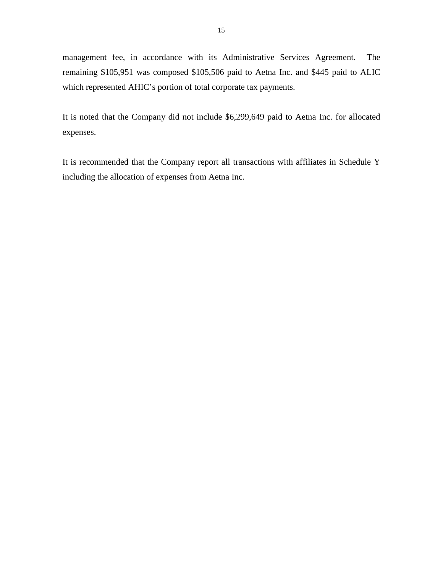management fee, in accordance with its Administrative Services Agreement. The remaining \$105,951 was composed \$105,506 paid to Aetna Inc. and \$445 paid to ALIC which represented AHIC's portion of total corporate tax payments.

 It is noted that the Company did not include \$6,299,649 paid to Aetna Inc. for allocated expenses.

 It is recommended that the Company report all transactions with affiliates in Schedule Y including the allocation of expenses from Aetna Inc.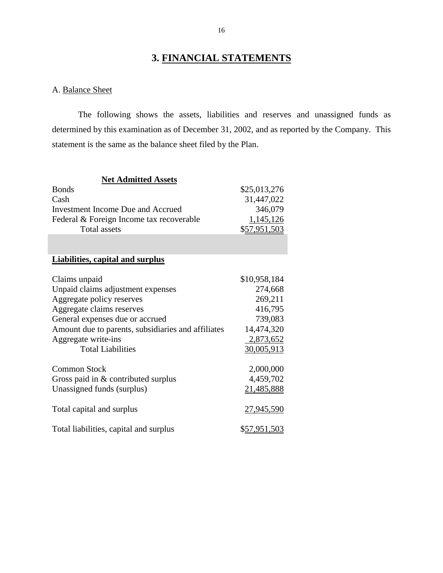# **3. FINANCIAL STATEMENTS**

# A. Balance Sheet

 The following shows the assets, liabilities and reserves and unassigned funds as determined by this examination as of December 31, 2002, and as reported by the Company. This statement is the same as the balance sheet filed by the Plan.

| <b>Net Admitted Assets</b>                         |              |
|----------------------------------------------------|--------------|
| <b>Bonds</b>                                       | \$25,013,276 |
| Cash                                               | 31,447,022   |
| <b>Investment Income Due and Accrued</b>           | 346,079      |
| Federal & Foreign Income tax recoverable           | 1,145,126    |
| <b>Total assets</b>                                | \$57,951,503 |
|                                                    |              |
|                                                    |              |
| <b>Liabilities, capital and surplus</b>            |              |
|                                                    |              |
| Claims unpaid                                      | \$10,958,184 |
| Unpaid claims adjustment expenses                  | 274,668      |
| Aggregate policy reserves                          | 269,211      |
| Aggregate claims reserves                          | 416,795      |
| General expenses due or accrued                    | 739,083      |
| Amount due to parents, subsidiaries and affiliates | 14,474,320   |
| Aggregate write-ins                                | 2,873,652    |
| <b>Total Liabilities</b>                           | 30,005,913   |
|                                                    |              |
| <b>Common Stock</b>                                | 2,000,000    |
| Gross paid in & contributed surplus                | 4,459,702    |
| Unassigned funds (surplus)                         | 21,485,888   |
|                                                    |              |
| Total capital and surplus                          | 27,945,590   |
|                                                    |              |
| Total liabilities, capital and surplus             | \$57,951,503 |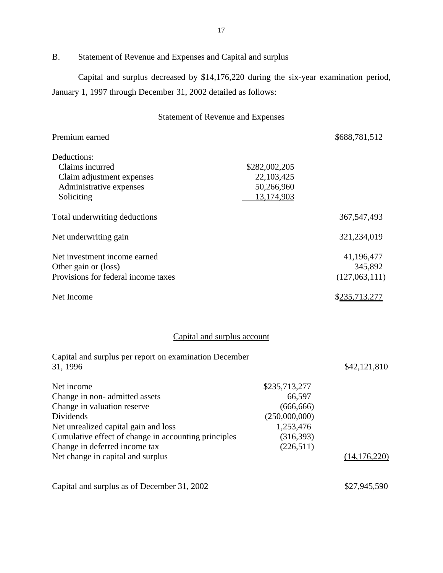# B. Statement of Revenue and Expenses and Capital and surplus

 Capital and surplus decreased by \$14,176,220 during the six-year examination period, January 1, 1997 through December 31, 2002 detailed as follows:

# Statement of Revenue and Expenses

| Premium earned                      |               | \$688,781,512 |
|-------------------------------------|---------------|---------------|
| Deductions:                         |               |               |
| Claims incurred                     | \$282,002,205 |               |
| Claim adjustment expenses           | 22,103,425    |               |
| Administrative expenses             | 50,266,960    |               |
| Soliciting                          | 13,174,903    |               |
| Total underwriting deductions       |               | 367, 547, 493 |
| Net underwriting gain               |               | 321,234,019   |
| Net investment income earned        |               | 41,196,477    |
| Other gain or (loss)                |               | 345,892       |
| Provisions for federal income taxes |               | (127,063,111) |
| Net Income                          |               | \$235,713,277 |
|                                     |               |               |

# Capital and surplus account

| Capital and surplus per report on examination December |               |                |
|--------------------------------------------------------|---------------|----------------|
| 31, 1996                                               |               | \$42,121,810   |
| Net income                                             | \$235,713,277 |                |
| Change in non-admitted assets                          | 66,597        |                |
| Change in valuation reserve                            | (666, 666)    |                |
| Dividends                                              | (250,000,000) |                |
| Net unrealized capital gain and loss                   | 1,253,476     |                |
| Cumulative effect of change in accounting principles   | (316, 393)    |                |
| Change in deferred income tax                          | (226,511)     |                |
| Net change in capital and surplus                      |               | (14, 176, 220) |
|                                                        |               |                |
|                                                        |               |                |

Capital and surplus as of December 31, 2002 \$27,945,590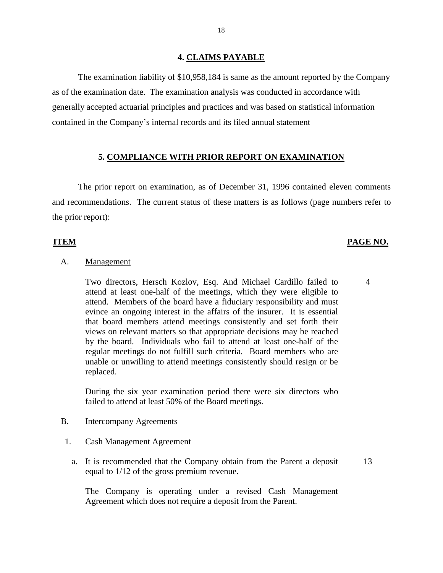## **4. CLAIMS PAYABLE**

The examination liability of \$10,958,184 is same as the amount reported by the Company as of the examination date. The examination analysis was conducted in accordance with generally accepted actuarial principles and practices and was based on statistical information contained in the Company's internal records and its filed annual statement

### **5. COMPLIANCE WITH PRIOR REPORT ON EXAMINATION**

 The prior report on examination, as of December 31, 1996 contained eleven comments and recommendations. The current status of these matters is as follows (page numbers refer to the prior report):

### **ITEM PAGE NO.**

4

### A. Management

 Two directors, Hersch Kozlov, Esq. And Michael Cardillo failed to attend at least one-half of the meetings, which they were eligible to attend. Members of the board have a fiduciary responsibility and must evince an ongoing interest in the affairs of the insurer. It is essential that board members attend meetings consistently and set forth their views on relevant matters so that appropriate decisions may be reached by the board. Individuals who fail to attend at least one-half of the regular meetings do not fulfill such criteria. Board members who are unable or unwilling to attend meetings consistently should resign or be replaced.

 During the six year examination period there were six directors who failed to attend at least 50% of the Board meetings.

- B. Intercompany Agreements
	- 1. Cash Management Agreement
		- a. It is recommended that the Company obtain from the Parent a deposit equal to 1/12 of the gross premium revenue. 13

 The Company is operating under a revised Cash Management Agreement which does not require a deposit from the Parent.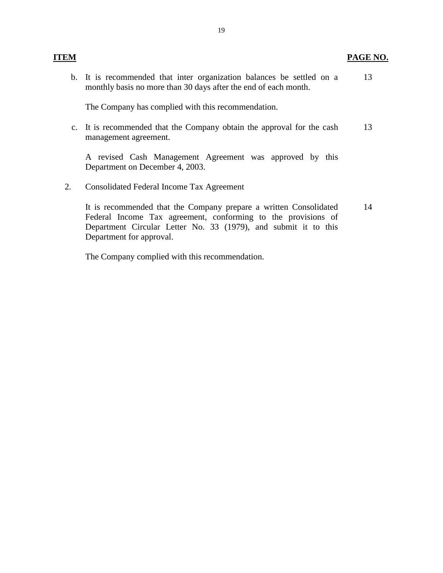**PAGE NO.** 

 b. It is recommended that inter organization balances be settled on a monthly basis no more than 30 days after the end of each month. 13

The Company has complied with this recommendation.

 c. It is recommended that the Company obtain the approval for the cash management agreement. 13

 A revised Cash Management Agreement was approved by this Department on December 4, 2003.

2. Consolidated Federal Income Tax Agreement

**ITEM** 

 It is recommended that the Company prepare a written Consolidated Federal Income Tax agreement, conforming to the provisions of Department Circular Letter No. 33 (1979), and submit it to this Department for approval. 14

The Company complied with this recommendation.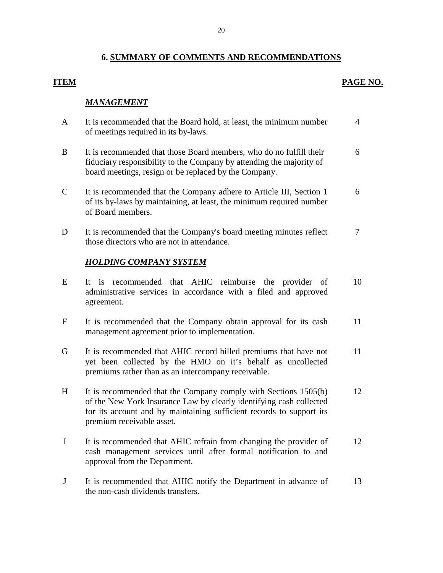### 20

### **6. SUMMARY OF COMMENTS AND RECOMMENDATIONS**

### **ITEM PAGE NO.**

### *MANAGEMENT*

- A It is recommended that the Board hold, at least, the minimum number C It is recommended that the Company adhere to Article III, Section 1 of its by-laws by maintaining, at least, the minimum required number D It is recommended that the Company's board meeting minutes reflect E It is recommended that AHIC reimburse the provider of administrative services in accordance with a filed and approved F It is recommended that the Company obtain approval for its cash G It is recommended that AHIC record billed premiums that have not yet been collected by the HMO on it's behalf as uncollected of meetings required in its by-laws. 4 B It is recommended that those Board members, who do no fulfill their fiduciary responsibility to the Company by attending the majority of board meetings, resign or be replaced by the Company. 6 of Board members. 6 those directors who are not in attendance. 7 *HOLDING COMPANY SYSTEM*  agreement. 10 management agreement prior to implementation. 11 premiums rather than as an intercompany receivable. 11
- H It is recommended that the Company comply with Sections 1505(b) of the New York Insurance Law by clearly identifying cash collected for its account and by maintaining sufficient records to support its premium receivable asset. 12
- I It is recommended that AHIC refrain from changing the provider of cash management services until after formal notification to and approval from the Department. 12
- J It is recommended that AHIC notify the Department in advance of the non-cash dividends transfers. 13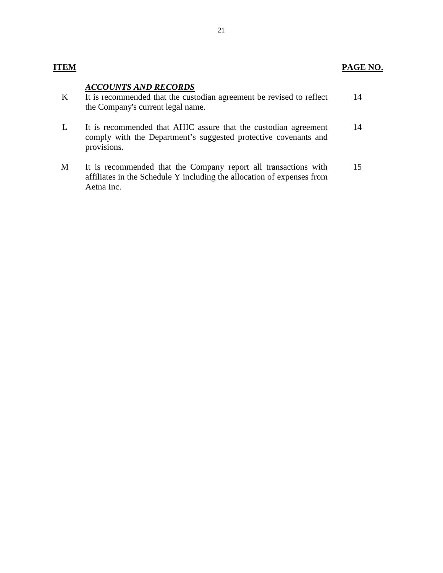## *ACCOUNTS AND RECORDS*

| It is recommended that the custodian agreement be revised to reflect | 14 |
|----------------------------------------------------------------------|----|
| the Company's current legal name.                                    |    |

- L It is recommended that AHIC assure that the custodian agreement comply with the Department's suggested protective covenants and provisions. 14
- M It is recommended that the Company report all transactions with affiliates in the Schedule Y including the allocation of expenses from Aetna Inc. 15